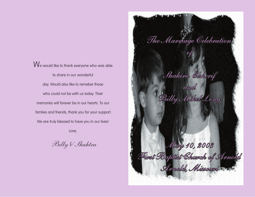$\rm{W}$ e would like to thank everyone who was able to share in our wonderful day. Would also like to remeber those who could not be with us today. Their memories will forever be in our hearts. To our famlies and friends, thank you for your support. We are truly blessed to have you in our lives!

Love,

Billy & Shahtra